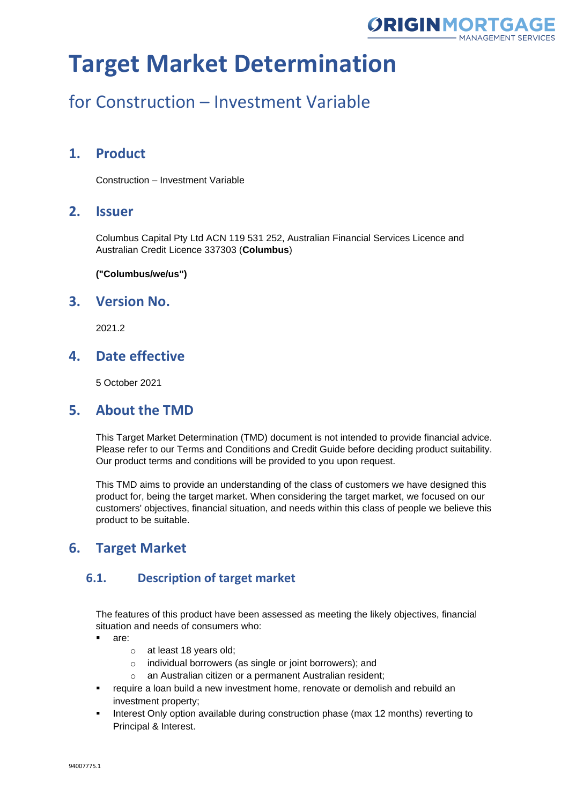

# for Construction – Investment Variable

### **1. Product**

Construction – Investment Variable

### **2. Issuer**

Columbus Capital Pty Ltd ACN 119 531 252, Australian Financial Services Licence and Australian Credit Licence 337303 (**Columbus**)

**("Columbus/we/us")**

### **3. Version No.**

2021.2

### **4. Date effective**

5 October 2021

### **5. About the TMD**

This Target Market Determination (TMD) document is not intended to provide financial advice. Please refer to our Terms and Conditions and Credit Guide before deciding product suitability. Our product terms and conditions will be provided to you upon request.

This TMD aims to provide an understanding of the class of customers we have designed this product for, being the target market. When considering the target market, we focused on our customers' objectives, financial situation, and needs within this class of people we believe this product to be suitable.

### **6. Target Market**

#### **6.1. Description of target market**

The features of this product have been assessed as meeting the likely objectives, financial situation and needs of consumers who:

- are:
	- o at least 18 years old;
	- o individual borrowers (as single or joint borrowers); and
	- o an Australian citizen or a permanent Australian resident;
- require a loan build a new investment home, renovate or demolish and rebuild an investment property;
- Interest Only option available during construction phase (max 12 months) reverting to Principal & Interest.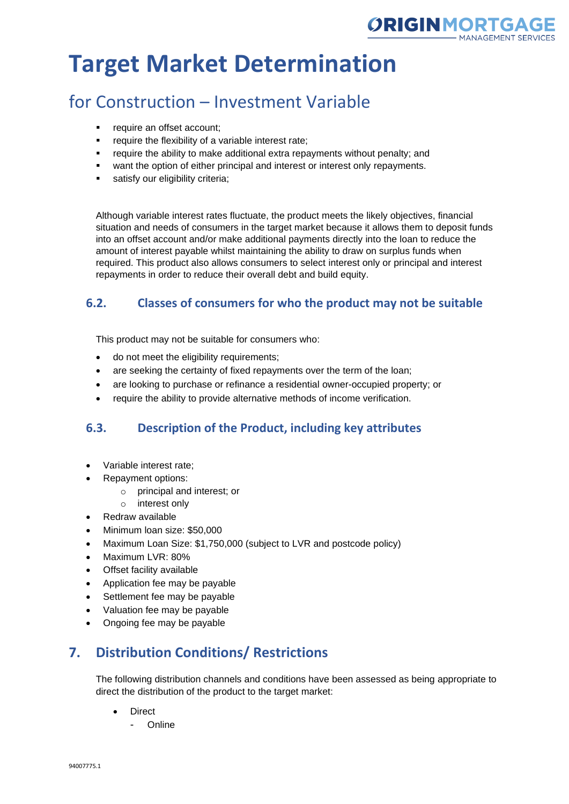

## for Construction – Investment Variable

- require an offset account:
- require the flexibility of a variable interest rate;
- require the ability to make additional extra repayments without penalty; and
- want the option of either principal and interest or interest only repayments.
- satisfy our eligibility criteria;

Although variable interest rates fluctuate, the product meets the likely objectives, financial situation and needs of consumers in the target market because it allows them to deposit funds into an offset account and/or make additional payments directly into the loan to reduce the amount of interest payable whilst maintaining the ability to draw on surplus funds when required. This product also allows consumers to select interest only or principal and interest repayments in order to reduce their overall debt and build equity.

#### **6.2. Classes of consumers for who the product may not be suitable**

This product may not be suitable for consumers who:

- do not meet the eligibility requirements;
- are seeking the certainty of fixed repayments over the term of the loan;
- are looking to purchase or refinance a residential owner-occupied property; or
- require the ability to provide alternative methods of income verification.

#### **6.3. Description of the Product, including key attributes**

- Variable interest rate;
- Repayment options:
	- o principal and interest; or
	- o interest only
- Redraw available
- Minimum loan size: \$50,000
- Maximum Loan Size: \$1,750,000 (subject to LVR and postcode policy)
- Maximum LVR: 80%
- Offset facility available
- Application fee may be payable
- Settlement fee may be payable
- Valuation fee may be payable
- Ongoing fee may be payable

## **7. Distribution Conditions/ Restrictions**

The following distribution channels and conditions have been assessed as being appropriate to direct the distribution of the product to the target market:

- Direct
	- Online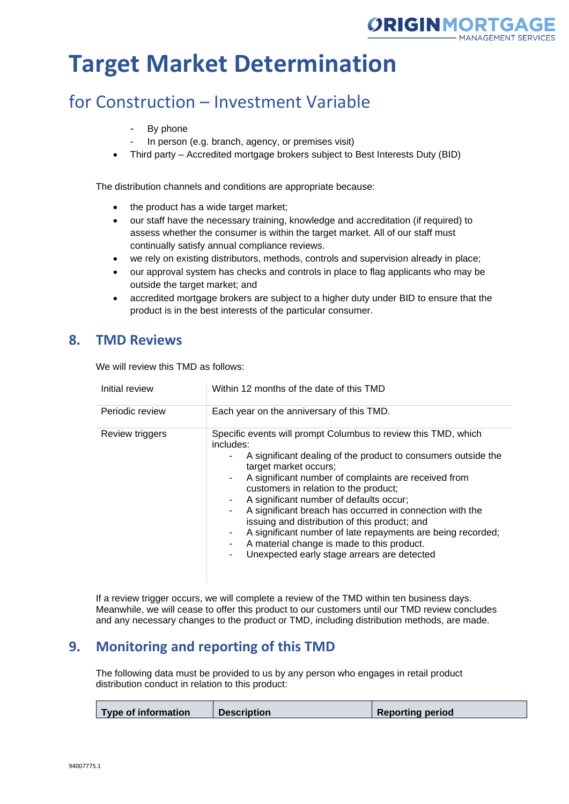

## for Construction – Investment Variable

- By phone
- In person (e.g. branch, agency, or premises visit)
- Third party Accredited mortgage brokers subject to Best Interests Duty (BID)

The distribution channels and conditions are appropriate because:

- the product has a wide target market;
- our staff have the necessary training, knowledge and accreditation (if required) to assess whether the consumer is within the target market. All of our staff must continually satisfy annual compliance reviews.
- we rely on existing distributors, methods, controls and supervision already in place;
- our approval system has checks and controls in place to flag applicants who may be outside the target market; and
- accredited mortgage brokers are subject to a higher duty under BID to ensure that the product is in the best interests of the particular consumer.

### **8. TMD Reviews**

We will review this TMD as follows:

| Initial review  | Within 12 months of the date of this TMD                                                                                                                                                                                                                                                                                                                                                                                                                                                                                                                                                         |
|-----------------|--------------------------------------------------------------------------------------------------------------------------------------------------------------------------------------------------------------------------------------------------------------------------------------------------------------------------------------------------------------------------------------------------------------------------------------------------------------------------------------------------------------------------------------------------------------------------------------------------|
| Periodic review | Each year on the anniversary of this TMD.                                                                                                                                                                                                                                                                                                                                                                                                                                                                                                                                                        |
| Review triggers | Specific events will prompt Columbus to review this TMD, which<br>includes:<br>A significant dealing of the product to consumers outside the<br>target market occurs;<br>A significant number of complaints are received from<br>٠.<br>customers in relation to the product;<br>A significant number of defaults occur;<br>A significant breach has occurred in connection with the<br>issuing and distribution of this product; and<br>A significant number of late repayments are being recorded;<br>A material change is made to this product.<br>Unexpected early stage arrears are detected |

If a review trigger occurs, we will complete a review of the TMD within ten business days. Meanwhile, we will cease to offer this product to our customers until our TMD review concludes and any necessary changes to the product or TMD, including distribution methods, are made.

### **9. Monitoring and reporting of this TMD**

The following data must be provided to us by any person who engages in retail product distribution conduct in relation to this product:

| <b>Type of information</b> | <b>Description</b> | <b>Reporting period</b> |
|----------------------------|--------------------|-------------------------|
|                            |                    |                         |